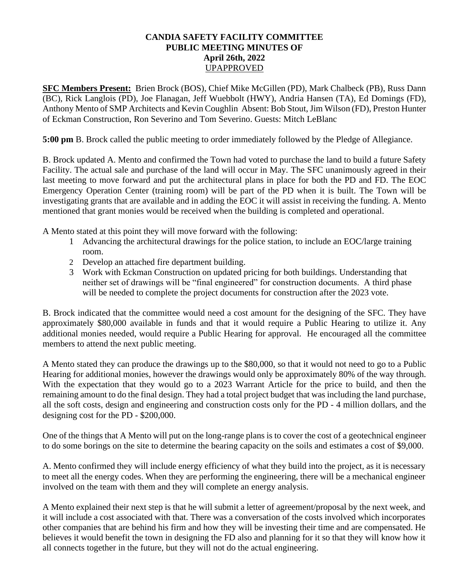## **CANDIA SAFETY FACILITY COMMITTEE PUBLIC MEETING MINUTES OF April 26th, 2022** UPAPPROVED

**SFC Members Present:** Brien Brock (BOS), Chief Mike McGillen (PD), Mark Chalbeck (PB), Russ Dann (BC), Rick Langlois (PD), Joe Flanagan, Jeff Wuebbolt (HWY), Andria Hansen (TA), Ed Domings (FD), Anthony Mento of SMP Architects and Kevin Coughlin Absent: Bob Stout, Jim Wilson (FD), Preston Hunter of Eckman Construction, Ron Severino and Tom Severino. Guests: Mitch LeBlanc

**5:00 pm** B. Brock called the public meeting to order immediately followed by the Pledge of Allegiance.

B. Brock updated A. Mento and confirmed the Town had voted to purchase the land to build a future Safety Facility. The actual sale and purchase of the land will occur in May. The SFC unanimously agreed in their last meeting to move forward and put the architectural plans in place for both the PD and FD. The EOC Emergency Operation Center (training room) will be part of the PD when it is built. The Town will be investigating grants that are available and in adding the EOC it will assist in receiving the funding. A. Mento mentioned that grant monies would be received when the building is completed and operational.

A Mento stated at this point they will move forward with the following:

- 1 Advancing the architectural drawings for the police station, to include an EOC/large training room.
- 2 Develop an attached fire department building.
- 3 Work with Eckman Construction on updated pricing for both buildings. Understanding that neither set of drawings will be "final engineered" for construction documents. A third phase will be needed to complete the project documents for construction after the 2023 vote.

B. Brock indicated that the committee would need a cost amount for the designing of the SFC. They have approximately \$80,000 available in funds and that it would require a Public Hearing to utilize it. Any additional monies needed, would require a Public Hearing for approval. He encouraged all the committee members to attend the next public meeting.

A Mento stated they can produce the drawings up to the \$80,000, so that it would not need to go to a Public Hearing for additional monies, however the drawings would only be approximately 80% of the way through. With the expectation that they would go to a 2023 Warrant Article for the price to build, and then the remaining amount to do the final design. They had a total project budget that was including the land purchase, all the soft costs, design and engineering and construction costs only for the PD - 4 million dollars, and the designing cost for the PD - \$200,000.

One of the things that A Mento will put on the long-range plans is to cover the cost of a geotechnical engineer to do some borings on the site to determine the bearing capacity on the soils and estimates a cost of \$9,000.

A. Mento confirmed they will include energy efficiency of what they build into the project, as it is necessary to meet all the energy codes. When they are performing the engineering, there will be a mechanical engineer involved on the team with them and they will complete an energy analysis.

A Mento explained their next step is that he will submit a letter of agreement/proposal by the next week, and it will include a cost associated with that. There was a conversation of the costs involved which incorporates other companies that are behind his firm and how they will be investing their time and are compensated. He believes it would benefit the town in designing the FD also and planning for it so that they will know how it all connects together in the future, but they will not do the actual engineering.